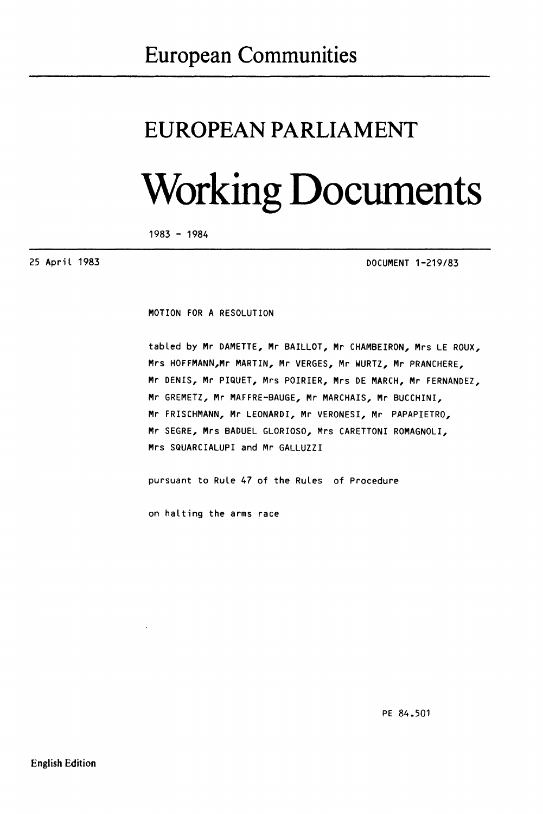## **European Communities**

## **EUROPEAN PARLIAMENT**

## **Working Documents**

1983 - 1984

25 April 1983

DOCUMENT 1-219/83

MOTION FOR A RESOLUTION

tabled by Mr DAMETTE, Mr BAILLOT, Mr CHAMBEIRON, Mrs LE ROUX, Mrs HOFFMANN,Mr MARTIN, Mr VERGES, Mr WURTZ, Mr PRANCHERE, Mr DENIS, Mr PIQUET, Mrs POIRIER, Mrs DE MARCH, Mr FERNANDEZ, Mr GREMETZ, Mr MAFFRE-BAUGE, Mr MARCHAIS, Mr BUCCHINI, Mr FRISCHMANN, Mr LEONARDI, Mr VERONESI, Mr PAPAPIETRO, Mr SEGRE, Mrs BADUEL GLORIOSO, Mrs CARETTONI ROMAGNOLI, Mrs SQUARCIALUPI and Mr GALLUZZI

pursuant to Rule 47 of the Rules of Procedure

on halting the arms race

PE 84.501